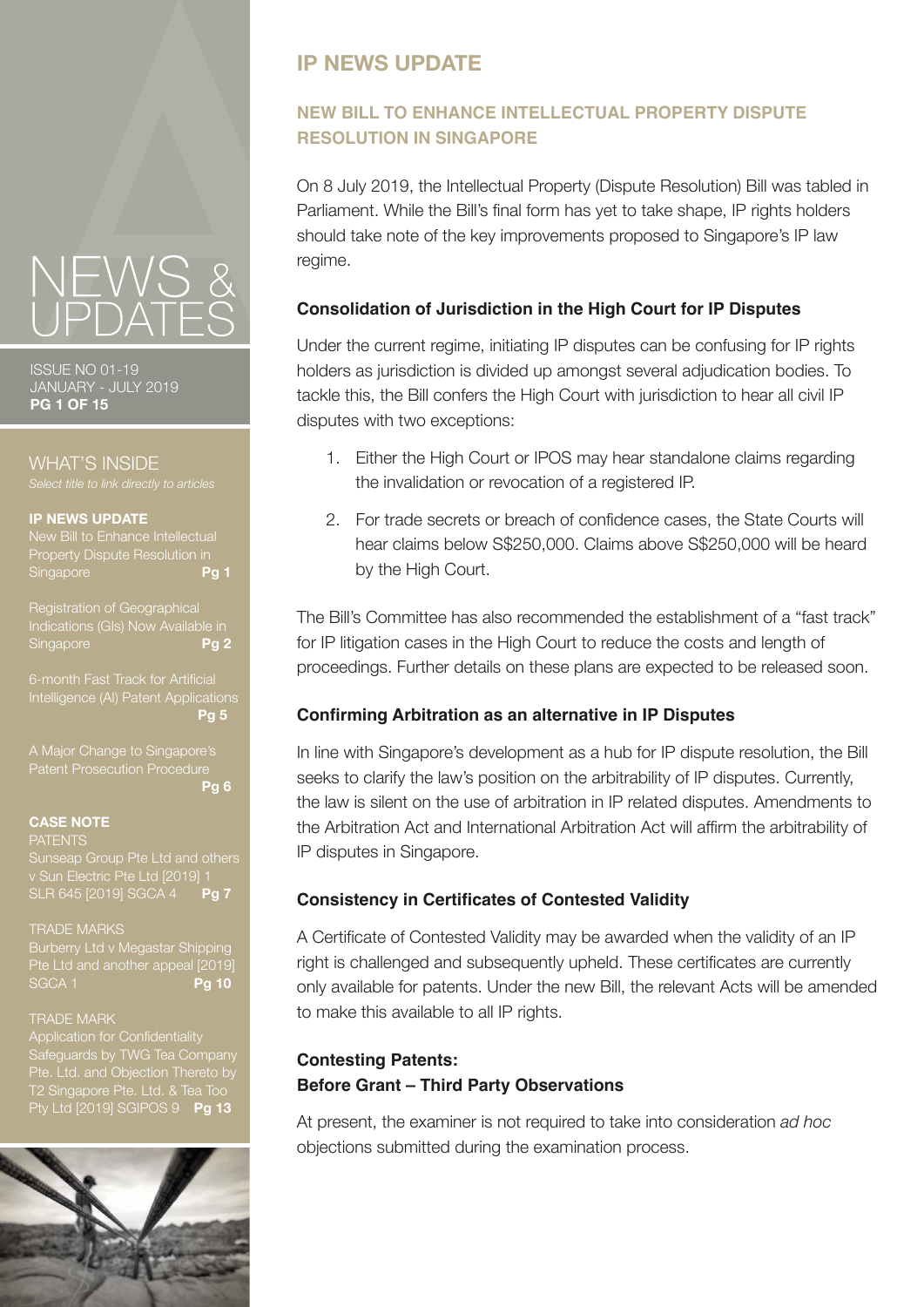# **IP NEWS UPDATE**

# **NEW BILL TO ENHANCE INTELLECTUAL PROPERTY DISPUTE RESOLUTION IN SINGAPORE**

On 8 July 2019, the Intellectual Property (Dispute Resolution) Bill was tabled in Parliament. While the Bill's final form has yet to take shape, IP rights holders should take note of the key improvements proposed to Singapore's IP law regime.

### **Consolidation of Jurisdiction in the High Court for IP Disputes**

Under the current regime, initiating IP disputes can be confusing for IP rights holders as jurisdiction is divided up amongst several adjudication bodies. To tackle this, the Bill confers the High Court with jurisdiction to hear all civil IP disputes with two exceptions:

- 1. Either the High Court or IPOS may hear standalone claims regarding the invalidation or revocation of a registered IP.
- 2. For trade secrets or breach of confidence cases, the State Courts will hear claims below S\$250,000. Claims above S\$250,000 will be heard by the High Court.

The Bill's Committee has also recommended the establishment of a "fast track" for IP litigation cases in the High Court to reduce the costs and length of proceedings. Further details on these plans are expected to be released soon.

# **Confirming Arbitration as an alternative in IP Disputes**

In line with Singapore's development as a hub for IP dispute resolution, the Bill seeks to clarify the law's position on the arbitrability of IP disputes. Currently, the law is silent on the use of arbitration in IP related disputes. Amendments to the Arbitration Act and International Arbitration Act will affirm the arbitrability of IP disputes in Singapore.

### **Consistency in Certificates of Contested Validity**

A Certificate of Contested Validity may be awarded when the validity of an IP right is challenged and subsequently upheld. These certificates are currently only available for patents. Under the new Bill, the relevant Acts will be amended to make this available to all IP rights.

# **Contesting Patents: Before Grant – Third Party Observations**

At present, the examiner is not required to take into consideration *ad hoc*  objections submitted during the examination process.



ISSUE NO 01-19 JANUARY - JULY 2019 **PG 1 OF 15**

WHAT'S INSIDE

#### **IP NEWS UPDATE**

New Bill to Enhance Intellectual Property Dispute Resolution in<br>Singapore Singapore

Registration of Geographical <sub>i</sub><br>Ications (GIs) Now Available in Singapore **Pg 2**

6-month Fast Track for Artificial [Intelligence \(AI\) Patent Applications](#page-4-0) **Pg 5**

[A Major Change to Singapore's](#page-5-0)  **Pg 6**

### **CASE NOTE**

**PATENTS** 

[Sunseap Group Pte Ltd and others](#page-6-0) v Sun Electric Pte Ltd [2019] 1 SLR 645 [2019] SGCA 4 **Pg 7**

TRADE MARKS [Burberry Ltd v Megastar Shipping](#page-9-0) 

te Ltd and another appeal [2019]<br>GCA 1 **Pg 10 SGCA 1** 

#### TRADE MARK

[Safeguards by TWG Tea Company](#page-12-0)  Pte. Ltd. and Objection Thereto by Pty Ltd [2019] SGIPOS 9 **Pg 13**

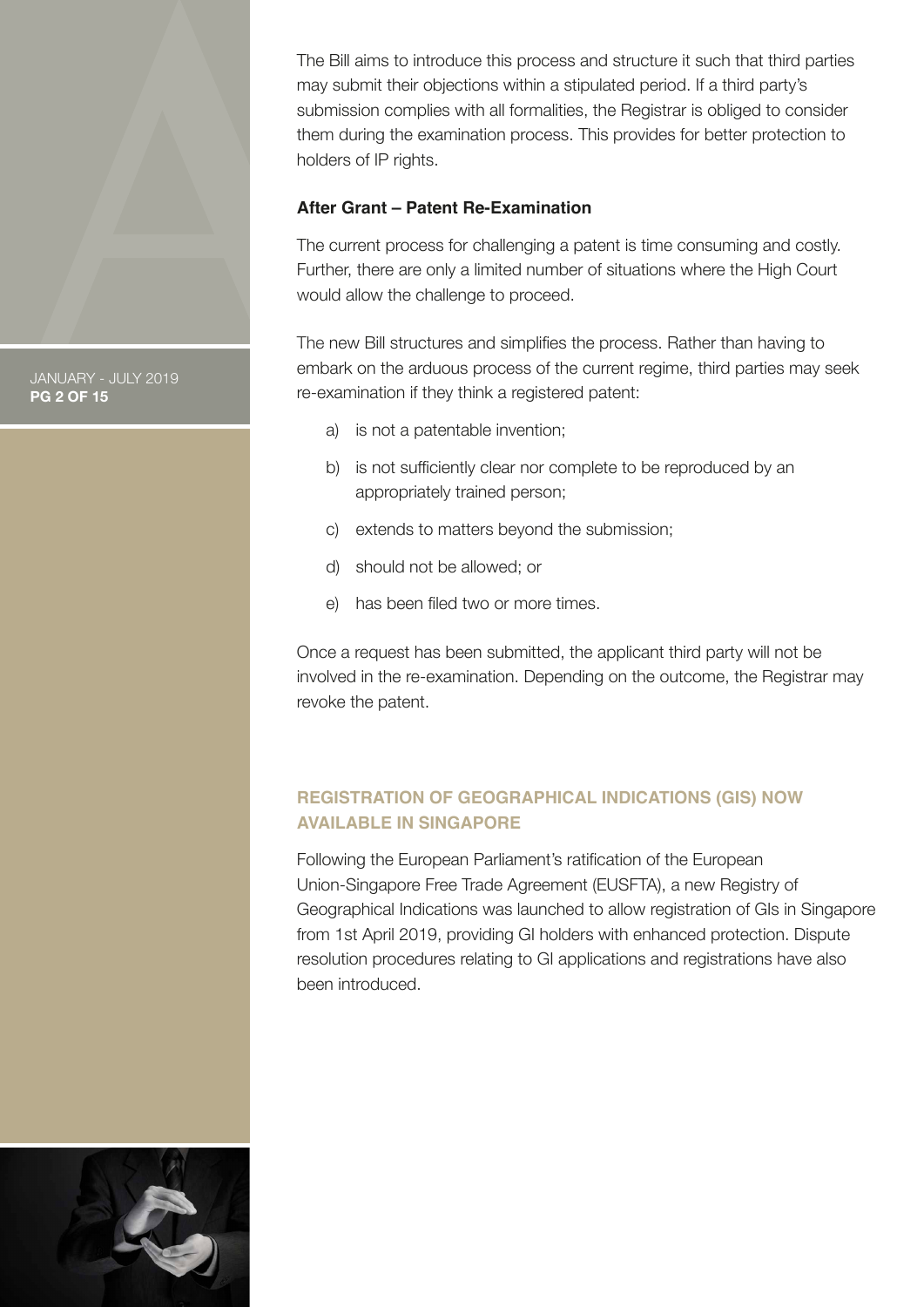<span id="page-1-0"></span>The Bill aims to introduce this process and structure it such that third parties may submit their objections within a stipulated period. If a third party's submission complies with all formalities, the Registrar is obliged to consider them during the examination process. This provides for better protection to holders of IP rights.

### **After Grant – Patent Re-Examination**

The current process for challenging a patent is time consuming and costly. Further, there are only a limited number of situations where the High Court would allow the challenge to proceed.

The new Bill structures and simplifies the process. Rather than having to embark on the arduous process of the current regime, third parties may seek re-examination if they think a registered patent:

- a) is not a patentable invention;
- b) is not sufficiently clear nor complete to be reproduced by an appropriately trained person;
- c) extends to matters beyond the submission;
- d) should not be allowed; or
- e) has been filed two or more times.

Once a request has been submitted, the applicant third party will not be involved in the re-examination. Depending on the outcome, the Registrar may revoke the patent.

# **REGISTRATION OF GEOGRAPHICAL INDICATIONS (GIS) NOW AVAILABLE IN SINGAPORE**

Following the European Parliament's ratification of the European Union-Singapore Free Trade Agreement (EUSFTA), a new Registry of Geographical Indications was launched to allow registration of GIs in Singapore from 1st April 2019, providing GI holders with enhanced protection. Dispute resolution procedures relating to GI applications and registrations have also been introduced.



JANUARY - JULY 2019 **PG 2 OF 15**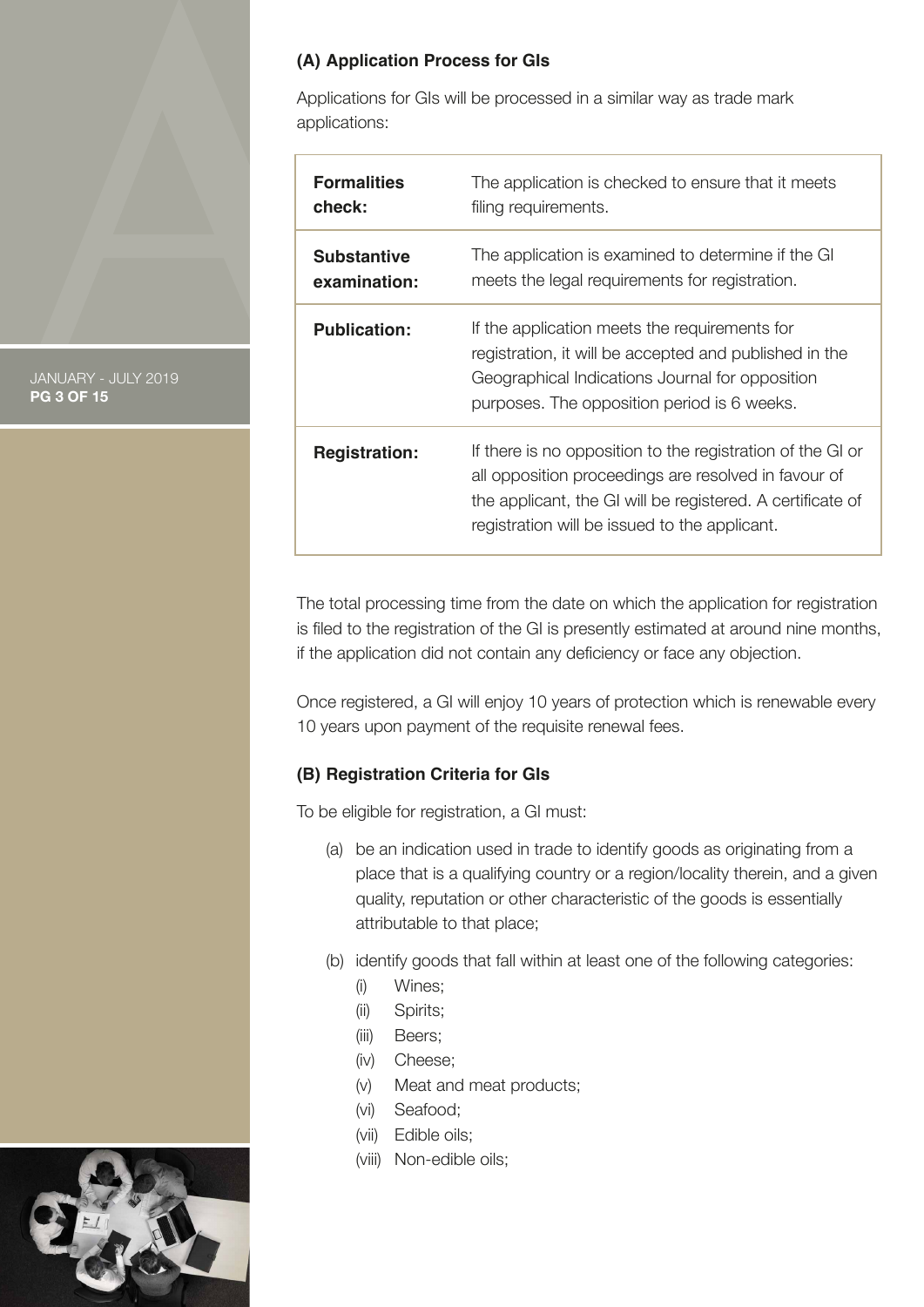### **(A) Application Process for GIs**

Applications for GIs will be processed in a similar way as trade mark applications:

| <b>Formalities</b>   | The application is checked to ensure that it meets                                                                                                                                                                                |
|----------------------|-----------------------------------------------------------------------------------------------------------------------------------------------------------------------------------------------------------------------------------|
| check:               | filing requirements.                                                                                                                                                                                                              |
| <b>Substantive</b>   | The application is examined to determine if the GI                                                                                                                                                                                |
| examination:         | meets the legal requirements for registration.                                                                                                                                                                                    |
| <b>Publication:</b>  | If the application meets the requirements for<br>registration, it will be accepted and published in the<br>Geographical Indications Journal for opposition<br>purposes. The opposition period is 6 weeks.                         |
| <b>Registration:</b> | If there is no opposition to the registration of the GI or<br>all opposition proceedings are resolved in favour of<br>the applicant, the GI will be registered. A certificate of<br>registration will be issued to the applicant. |

The total processing time from the date on which the application for registration is filed to the registration of the GI is presently estimated at around nine months, if the application did not contain any deficiency or face any objection.

Once registered, a GI will enjoy 10 years of protection which is renewable every 10 years upon payment of the requisite renewal fees.

# **(B) Registration Criteria for GIs**

To be eligible for registration, a GI must:

- (a) be an indication used in trade to identify goods as originating from a place that is a qualifying country or a region/locality therein, and a given quality, reputation or other characteristic of the goods is essentially attributable to that place;
- (b) identify goods that fall within at least one of the following categories:
	- (i) Wines;
	- (ii) Spirits;
	- (iii) Beers;
	- (iv) Cheese;
	- (v) Meat and meat products;
	- (vi) Seafood;
	- (vii) Edible oils;
	- (viii) Non-edible oils;



JANUARY - JULY 2019 **PG 3 OF 15**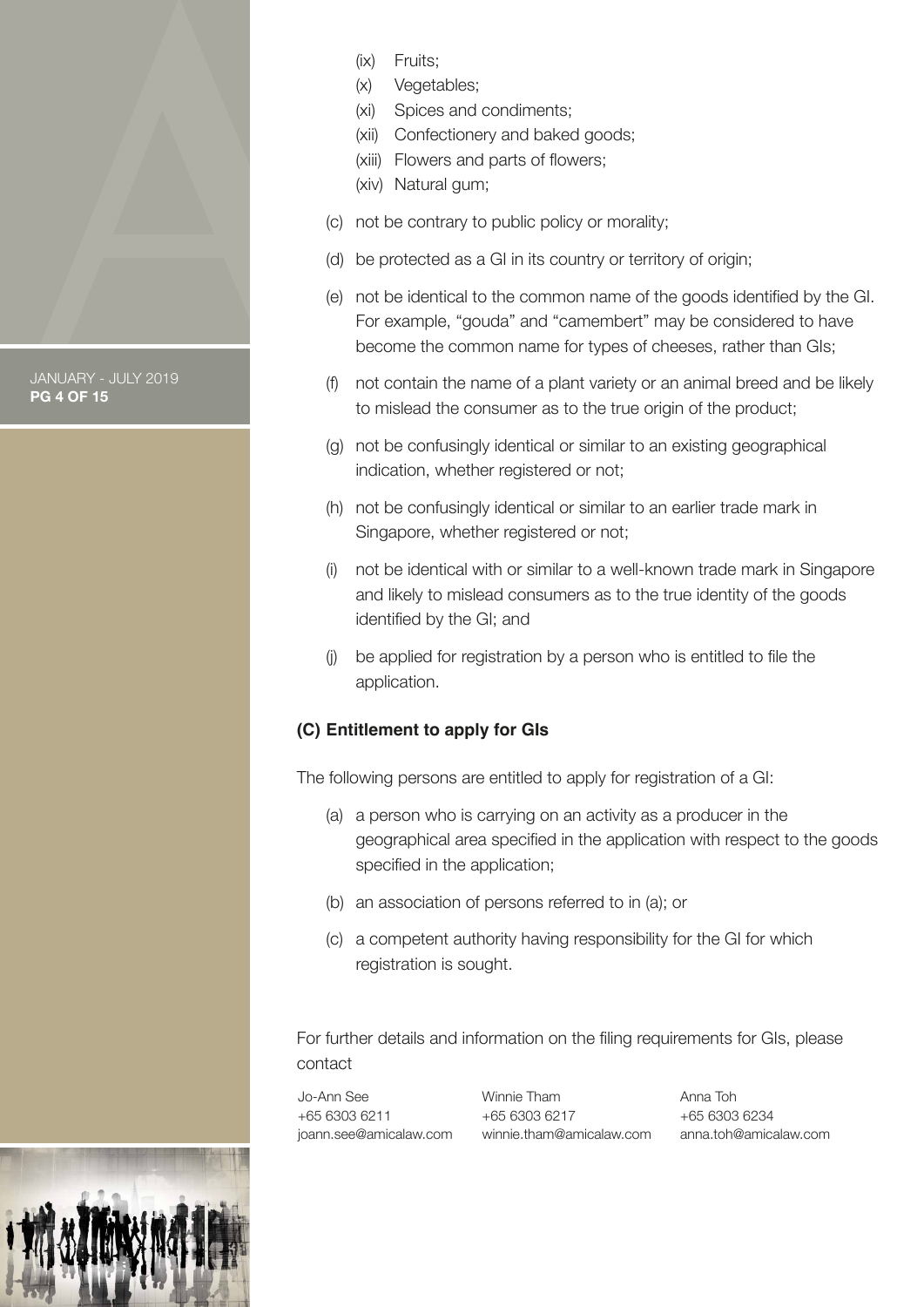

# **PG 4 OF 15**

- (ix) Fruits;
- (x) Vegetables;
- (xi) Spices and condiments;
- (xii) Confectionery and baked goods;
- (xiii) Flowers and parts of flowers;
- (xiv) Natural gum;
- (c) not be contrary to public policy or morality;
- (d) be protected as a GI in its country or territory of origin;
- (e) not be identical to the common name of the goods identified by the GI. For example, "gouda" and "camembert" may be considered to have become the common name for types of cheeses, rather than GIs;
- (f) not contain the name of a plant variety or an animal breed and be likely to mislead the consumer as to the true origin of the product;
- (g) not be confusingly identical or similar to an existing geographical indication, whether registered or not:
- (h) not be confusingly identical or similar to an earlier trade mark in Singapore, whether registered or not;
- (i) not be identical with or similar to a well-known trade mark in Singapore and likely to mislead consumers as to the true identity of the goods identified by the GI; and
- (j) be applied for registration by a person who is entitled to file the application.

# **(C) Entitlement to apply for GIs**

The following persons are entitled to apply for registration of a GI:

- (a) a person who is carrying on an activity as a producer in the geographical area specified in the application with respect to the goods specified in the application;
- (b) an association of persons referred to in (a); or
- (c) a competent authority having responsibility for the GI for which registration is sought.

For further details and information on the filing requirements for GIs, please contact

Jo-Ann See +65 6303 6211 joann.see@amicalaw.com

Winnie Tham +65 6303 6217 winnie.tham@amicalaw.com Anna Toh +65 6303 6234 anna.toh@amicalaw.com

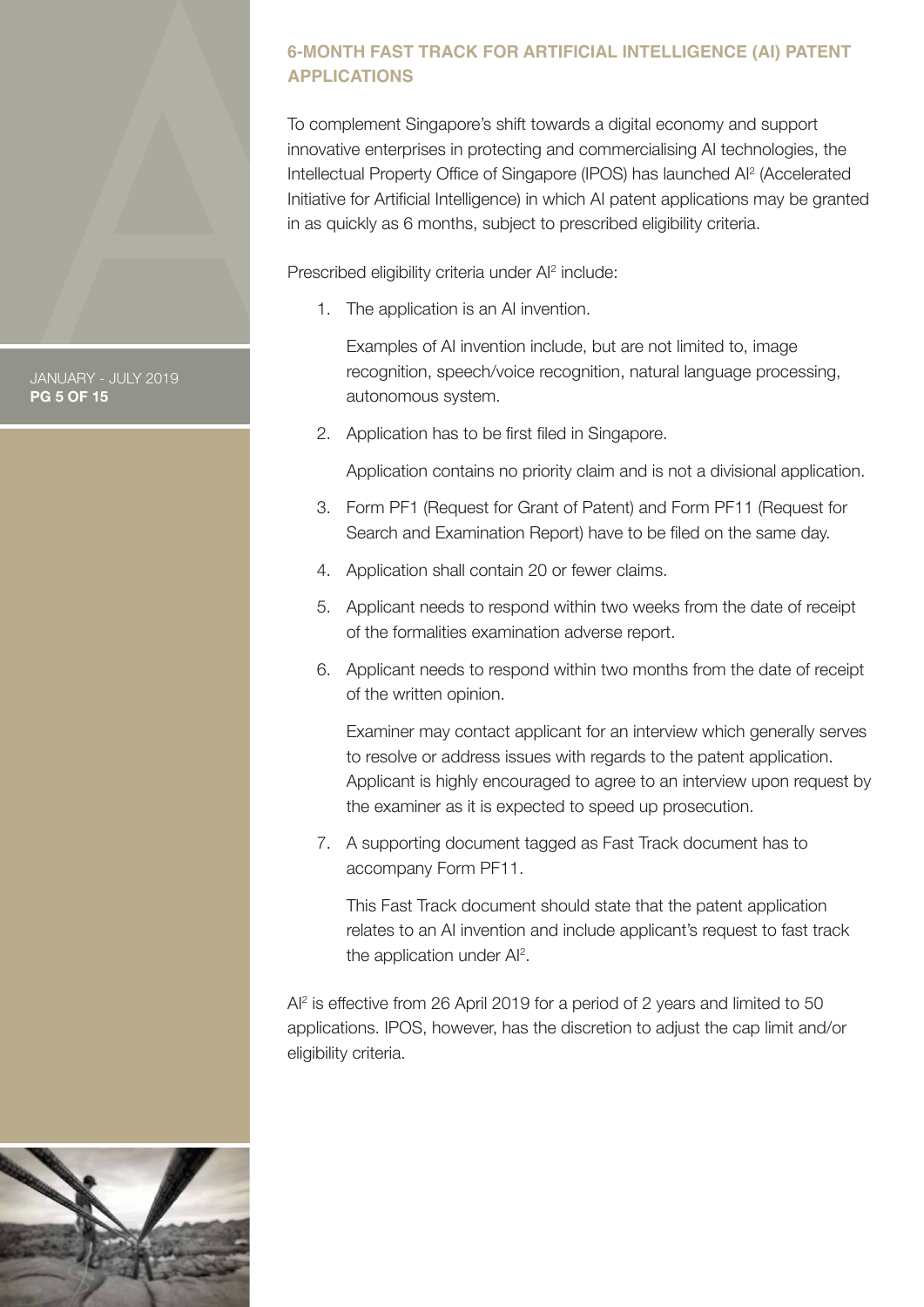# <span id="page-4-0"></span>**6-MONTH FAST TRACK FOR ARTIFICIAL INTELLIGENCE (AI) PATENT APPLICATIONS**

To complement Singapore's shift towards a digital economy and support innovative enterprises in protecting and commercialising AI technologies, the Intellectual Property Office of Singapore (IPOS) has launched AI2 (Accelerated Initiative for Artificial Intelligence) in which AI patent applications may be granted in as quickly as 6 months, subject to prescribed eligibility criteria.

Prescribed eligibility criteria under Al<sup>2</sup> include:

1. The application is an AI invention.

 Examples of AI invention include, but are not limited to, image recognition, speech/voice recognition, natural language processing, autonomous system.

2. Application has to be first filed in Singapore.

Application contains no priority claim and is not a divisional application.

- 3. Form PF1 (Request for Grant of Patent) and Form PF11 (Request for Search and Examination Report) have to be filed on the same day.
- 4. Application shall contain 20 or fewer claims.
- 5. Applicant needs to respond within two weeks from the date of receipt of the formalities examination adverse report.
- 6. Applicant needs to respond within two months from the date of receipt of the written opinion.

 Examiner may contact applicant for an interview which generally serves to resolve or address issues with regards to the patent application. Applicant is highly encouraged to agree to an interview upon request by the examiner as it is expected to speed up prosecution.

 7. A supporting document tagged as Fast Track document has to accompany Form PF11.

 This Fast Track document should state that the patent application relates to an AI invention and include applicant's request to fast track the application under AI<sup>2</sup>.

AI2 is effective from 26 April 2019 for a period of 2 years and limited to 50 applications. IPOS, however, has the discretion to adjust the cap limit and/or eligibility criteria.



JANUARY - JULY 2019 **PG 5 OF 15**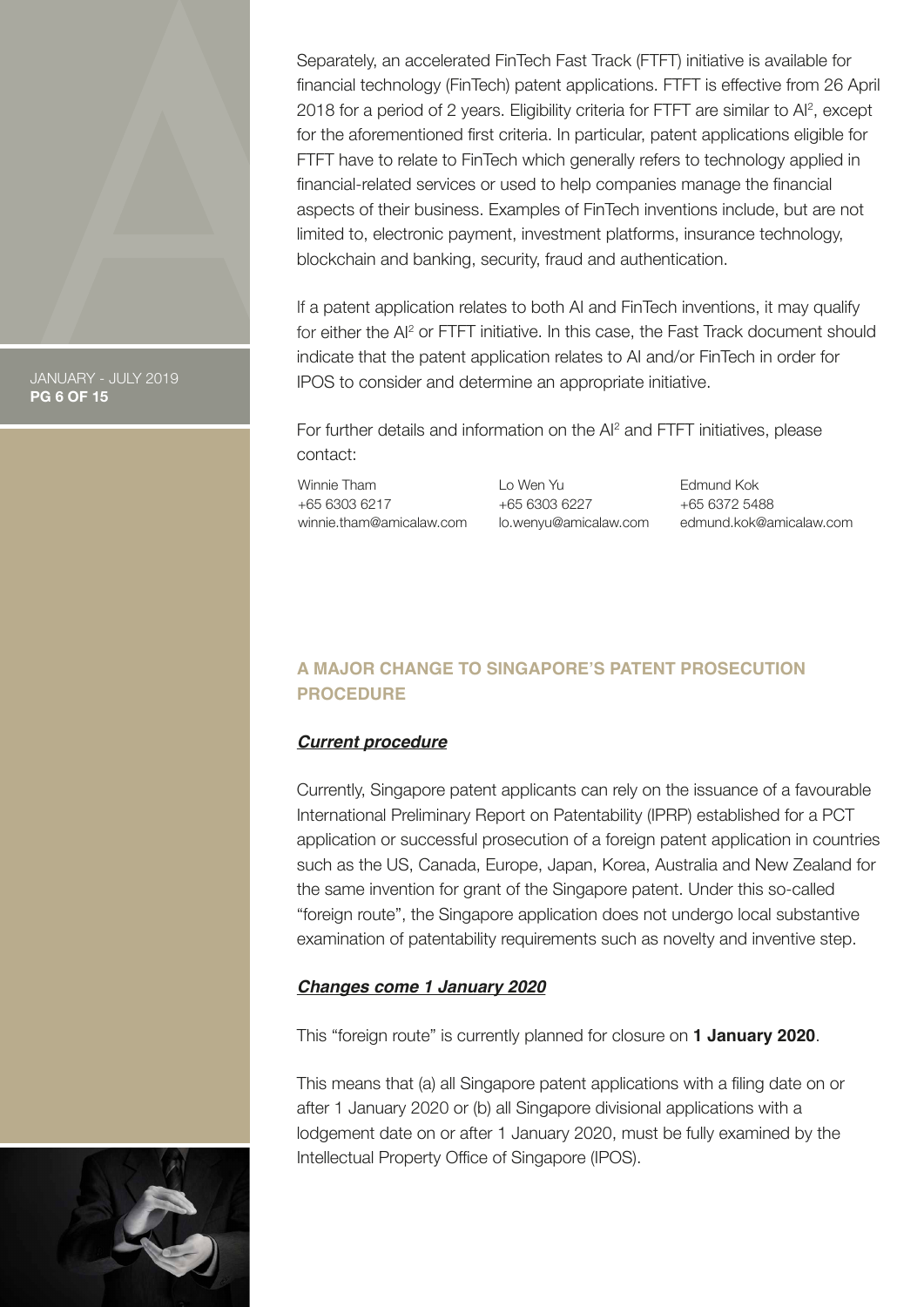<span id="page-5-0"></span>Separately, an accelerated FinTech Fast Track (FTFT) initiative is available for financial technology (FinTech) patent applications. FTFT is effective from 26 April 2018 for a period of 2 years. Eligibility criteria for FTFT are similar to Al<sup>2</sup>, except for the aforementioned first criteria. In particular, patent applications eligible for FTFT have to relate to FinTech which generally refers to technology applied in financial-related services or used to help companies manage the financial aspects of their business. Examples of FinTech inventions include, but are not limited to, electronic payment, investment platforms, insurance technology, blockchain and banking, security, fraud and authentication.

If a patent application relates to both AI and FinTech inventions, it may qualify for either the AI<sup>2</sup> or FTFT initiative. In this case, the Fast Track document should indicate that the patent application relates to AI and/or FinTech in order for IPOS to consider and determine an appropriate initiative.

For further details and information on the AI<sup>2</sup> and FTFT initiatives, please contact:

Winnie Tham +65 6303 6217 winnie.tham@amicalaw.com Lo Wen Yu +65 6303 6227 lo.wenyu@amicalaw.com Edmund Kok +65 6372 5488 edmund.kok@amicalaw.com

# **A MAJOR CHANGE TO SINGAPORE'S PATENT PROSECUTION PROCEDURE**

# *Current procedure*

Currently, Singapore patent applicants can rely on the issuance of a favourable International Preliminary Report on Patentability (IPRP) established for a PCT application or successful prosecution of a foreign patent application in countries such as the US, Canada, Europe, Japan, Korea, Australia and New Zealand for the same invention for grant of the Singapore patent. Under this so-called "foreign route", the Singapore application does not undergo local substantive examination of patentability requirements such as novelty and inventive step.

### *Changes come 1 January 2020*

This "foreign route" is currently planned for closure on **1 January 2020**.

This means that (a) all Singapore patent applications with a filing date on or after 1 January 2020 or (b) all Singapore divisional applications with a lodgement date on or after 1 January 2020, must be fully examined by the Intellectual Property Office of Singapore (IPOS).



JANUARY - JULY 2019

**PG 6 OF 15**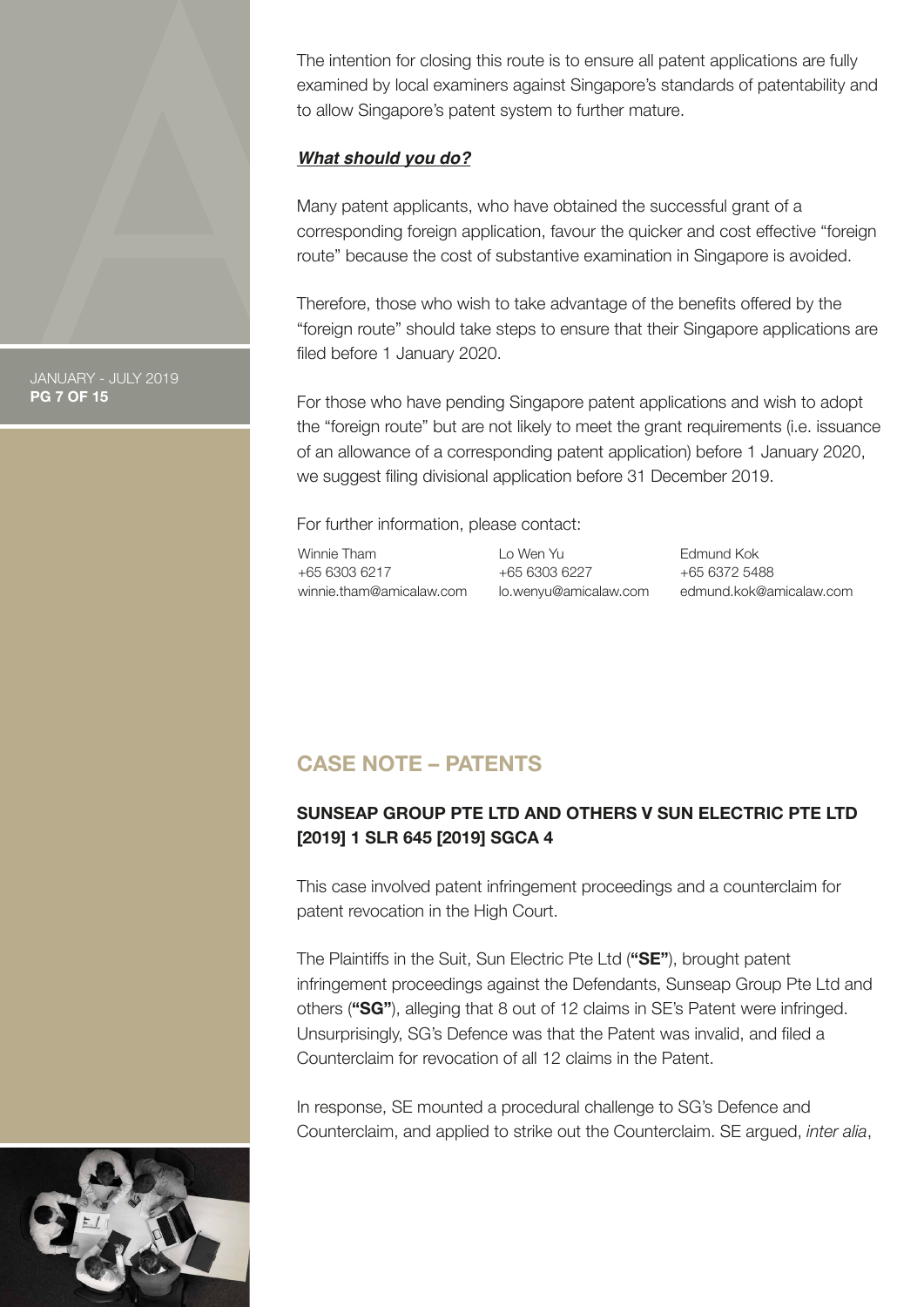<span id="page-6-0"></span>The intention for closing this route is to ensure all patent applications are fully examined by local examiners against Singapore's standards of patentability and to allow Singapore's patent system to further mature.

### *What should you do?*

Many patent applicants, who have obtained the successful grant of a corresponding foreign application, favour the quicker and cost effective "foreign route" because the cost of substantive examination in Singapore is avoided.

Therefore, those who wish to take advantage of the benefits offered by the "foreign route" should take steps to ensure that their Singapore applications are filed before 1 January 2020.

For those who have pending Singapore patent applications and wish to adopt the "foreign route" but are not likely to meet the grant requirements (i.e. issuance of an allowance of a corresponding patent application) before 1 January 2020, we suggest filing divisional application before 31 December 2019.

For further information, please contact:

Winnie Tham +65 6303 6217 winnie.tham@amicalaw.com Lo Wen Yu +65 6303 6227 lo.wenyu@amicalaw.com Edmund Kok +65 6372 5488 edmund.kok@amicalaw.com

# **CASE NOTE – PATENTS**

# **SUNSEAP GROUP PTE LTD AND OTHERS V SUN ELECTRIC PTE LTD [2019] 1 SLR 645 [2019] SGCA 4**

This case involved patent infringement proceedings and a counterclaim for patent revocation in the High Court.

The Plaintiffs in the Suit, Sun Electric Pte Ltd (**"SE"**), brought patent infringement proceedings against the Defendants, Sunseap Group Pte Ltd and others (**"SG"**), alleging that 8 out of 12 claims in SE's Patent were infringed. Unsurprisingly, SG's Defence was that the Patent was invalid, and filed a Counterclaim for revocation of all 12 claims in the Patent.

In response, SE mounted a procedural challenge to SG's Defence and Counterclaim, and applied to strike out the Counterclaim. SE argued, *inter alia*,



JANUARY - JULY 2019 **PG 7 OF 15**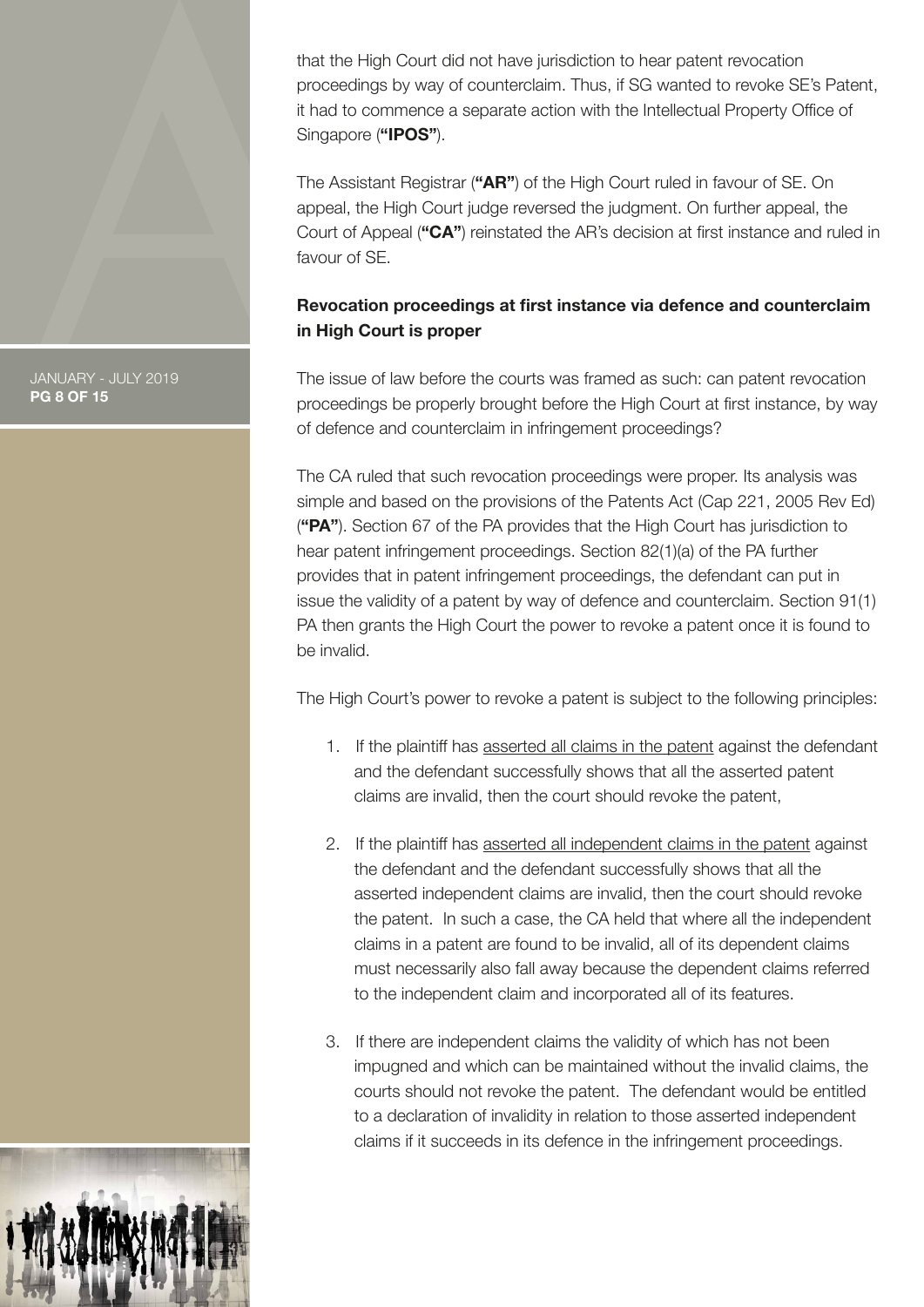that the High Court did not have jurisdiction to hear patent revocation proceedings by way of counterclaim. Thus, if SG wanted to revoke SE's Patent, it had to commence a separate action with the Intellectual Property Office of Singapore (**"IPOS"**).

The Assistant Registrar (**"AR"**) of the High Court ruled in favour of SE. On appeal, the High Court judge reversed the judgment. On further appeal, the Court of Appeal (**"CA"**) reinstated the AR's decision at first instance and ruled in favour of SE.

# **Revocation proceedings at first instance via defence and counterclaim in High Court is proper**

The issue of law before the courts was framed as such: can patent revocation proceedings be properly brought before the High Court at first instance, by way of defence and counterclaim in infringement proceedings?

The CA ruled that such revocation proceedings were proper. Its analysis was simple and based on the provisions of the Patents Act (Cap 221, 2005 Rev Ed) (**"PA"**). Section 67 of the PA provides that the High Court has jurisdiction to hear patent infringement proceedings. Section 82(1)(a) of the PA further provides that in patent infringement proceedings, the defendant can put in issue the validity of a patent by way of defence and counterclaim. Section 91(1) PA then grants the High Court the power to revoke a patent once it is found to be invalid.

The High Court's power to revoke a patent is subject to the following principles:

- 1. If the plaintiff has asserted all claims in the patent against the defendant and the defendant successfully shows that all the asserted patent claims are invalid, then the court should revoke the patent,
- 2. If the plaintiff has asserted all independent claims in the patent against the defendant and the defendant successfully shows that all the asserted independent claims are invalid, then the court should revoke the patent. In such a case, the CA held that where all the independent claims in a patent are found to be invalid, all of its dependent claims must necessarily also fall away because the dependent claims referred to the independent claim and incorporated all of its features.
- 3. If there are independent claims the validity of which has not been impugned and which can be maintained without the invalid claims, the courts should not revoke the patent. The defendant would be entitled to a declaration of invalidity in relation to those asserted independent claims if it succeeds in its defence in the infringement proceedings.

#### JANUARY - JULY 2019 **PG 8 OF 15**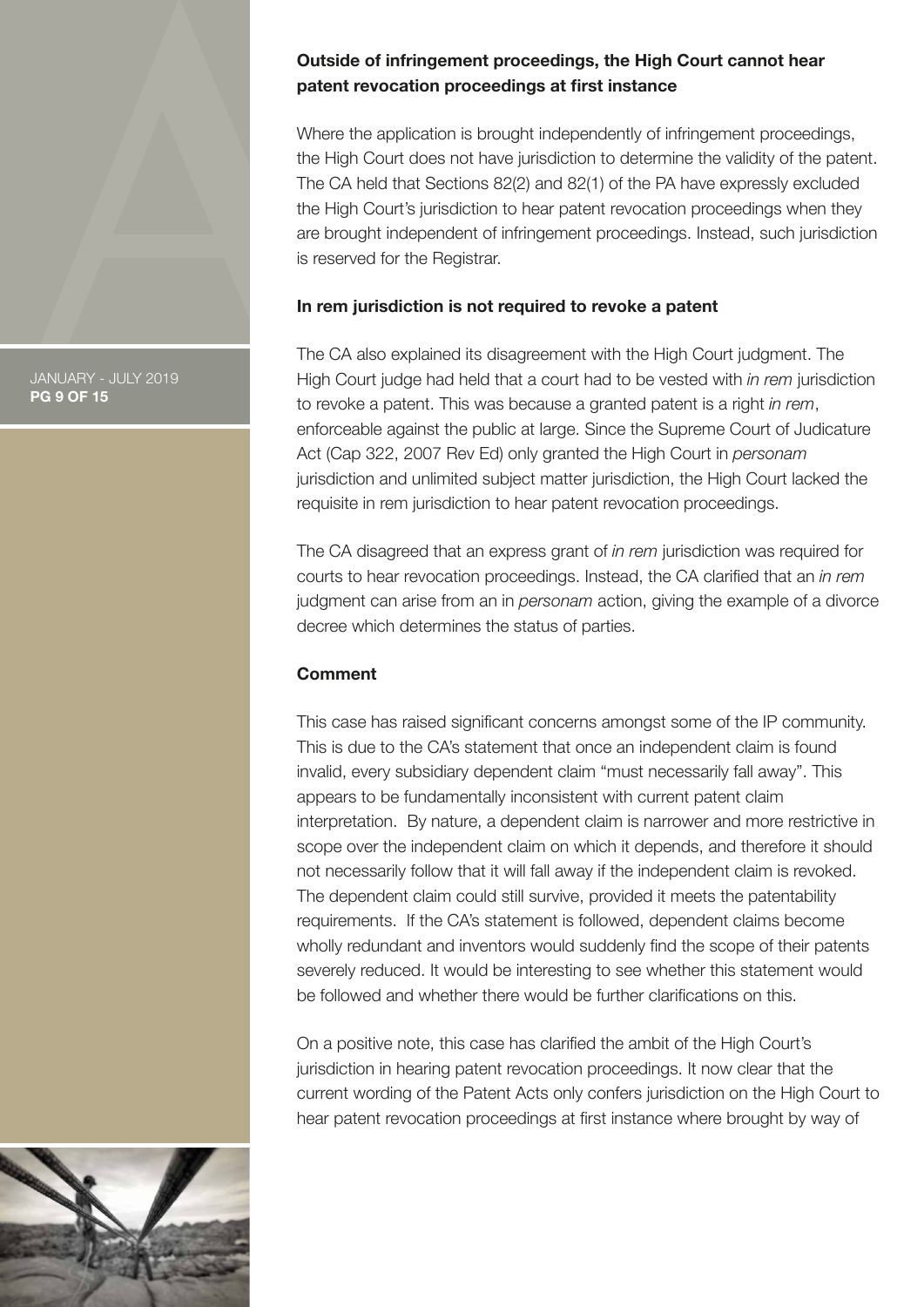# **Outside of infringement proceedings, the High Court cannot hear patent revocation proceedings at first instance**

Where the application is brought independently of infringement proceedings, the High Court does not have jurisdiction to determine the validity of the patent. The CA held that Sections 82(2) and 82(1) of the PA have expressly excluded the High Court's jurisdiction to hear patent revocation proceedings when they are brought independent of infringement proceedings. Instead, such jurisdiction is reserved for the Registrar.

### **In rem jurisdiction is not required to revoke a patent**

The CA also explained its disagreement with the High Court judgment. The High Court judge had held that a court had to be vested with *in rem* jurisdiction to revoke a patent. This was because a granted patent is a right *in rem*, enforceable against the public at large. Since the Supreme Court of Judicature Act (Cap 322, 2007 Rev Ed) only granted the High Court in *personam*  jurisdiction and unlimited subject matter jurisdiction, the High Court lacked the requisite in rem jurisdiction to hear patent revocation proceedings.

The CA disagreed that an express grant of *in rem* jurisdiction was required for courts to hear revocation proceedings. Instead, the CA clarified that an *in rem*  judgment can arise from an in *personam* action, giving the example of a divorce decree which determines the status of parties.

### **Comment**

This case has raised significant concerns amongst some of the IP community. This is due to the CA's statement that once an independent claim is found invalid, every subsidiary dependent claim "must necessarily fall away". This appears to be fundamentally inconsistent with current patent claim interpretation. By nature, a dependent claim is narrower and more restrictive in scope over the independent claim on which it depends, and therefore it should not necessarily follow that it will fall away if the independent claim is revoked. The dependent claim could still survive, provided it meets the patentability requirements. If the CA's statement is followed, dependent claims become wholly redundant and inventors would suddenly find the scope of their patents severely reduced. It would be interesting to see whether this statement would be followed and whether there would be further clarifications on this.

On a positive note, this case has clarified the ambit of the High Court's jurisdiction in hearing patent revocation proceedings. It now clear that the current wording of the Patent Acts only confers jurisdiction on the High Court to hear patent revocation proceedings at first instance where brought by way of



JANUARY - JULY 2019 **PG 9 OF 15**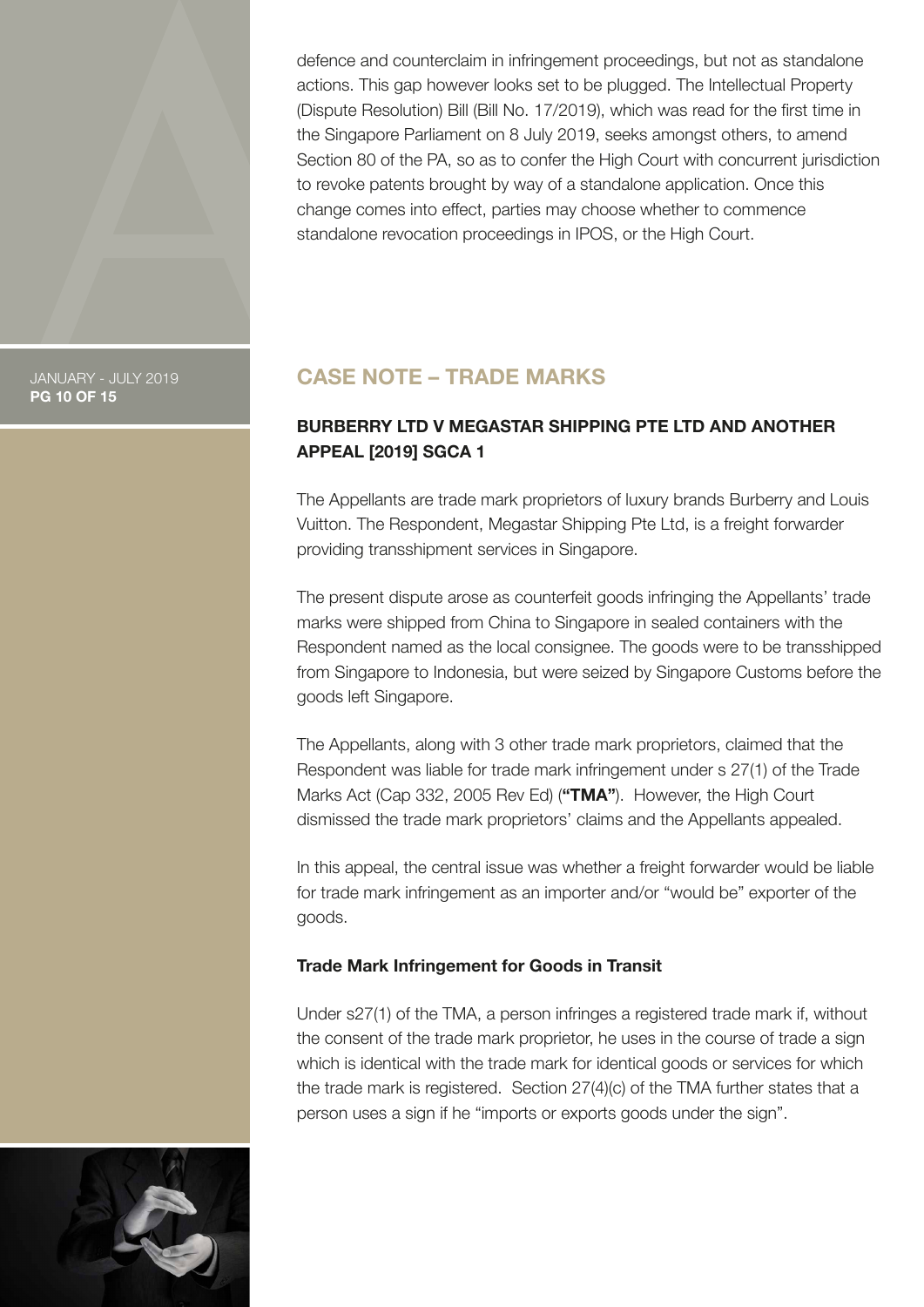<span id="page-9-0"></span>defence and counterclaim in infringement proceedings, but not as standalone actions. This gap however looks set to be plugged. The Intellectual Property (Dispute Resolution) Bill (Bill No. 17/2019), which was read for the first time in the Singapore Parliament on 8 July 2019, seeks amongst others, to amend Section 80 of the PA, so as to confer the High Court with concurrent jurisdiction to revoke patents brought by way of a standalone application. Once this change comes into effect, parties may choose whether to commence standalone revocation proceedings in IPOS, or the High Court.

JANUARY - JULY 2019 **PG 10 OF 15**

# **CASE NOTE – TRADE MARKS**

# **BURBERRY LTD V MEGASTAR SHIPPING PTE LTD AND ANOTHER APPEAL [2019] SGCA 1**

The Appellants are trade mark proprietors of luxury brands Burberry and Louis Vuitton. The Respondent, Megastar Shipping Pte Ltd, is a freight forwarder providing transshipment services in Singapore.

The present dispute arose as counterfeit goods infringing the Appellants' trade marks were shipped from China to Singapore in sealed containers with the Respondent named as the local consignee. The goods were to be transshipped from Singapore to Indonesia, but were seized by Singapore Customs before the goods left Singapore.

The Appellants, along with 3 other trade mark proprietors, claimed that the Respondent was liable for trade mark infringement under s 27(1) of the Trade Marks Act (Cap 332, 2005 Rev Ed) (**"TMA"**). However, the High Court dismissed the trade mark proprietors' claims and the Appellants appealed.

In this appeal, the central issue was whether a freight forwarder would be liable for trade mark infringement as an importer and/or "would be" exporter of the goods.

### **Trade Mark Infringement for Goods in Transit**

Under s27(1) of the TMA, a person infringes a registered trade mark if, without the consent of the trade mark proprietor, he uses in the course of trade a sign which is identical with the trade mark for identical goods or services for which the trade mark is registered. Section 27(4)(c) of the TMA further states that a person uses a sign if he "imports or exports goods under the sign".

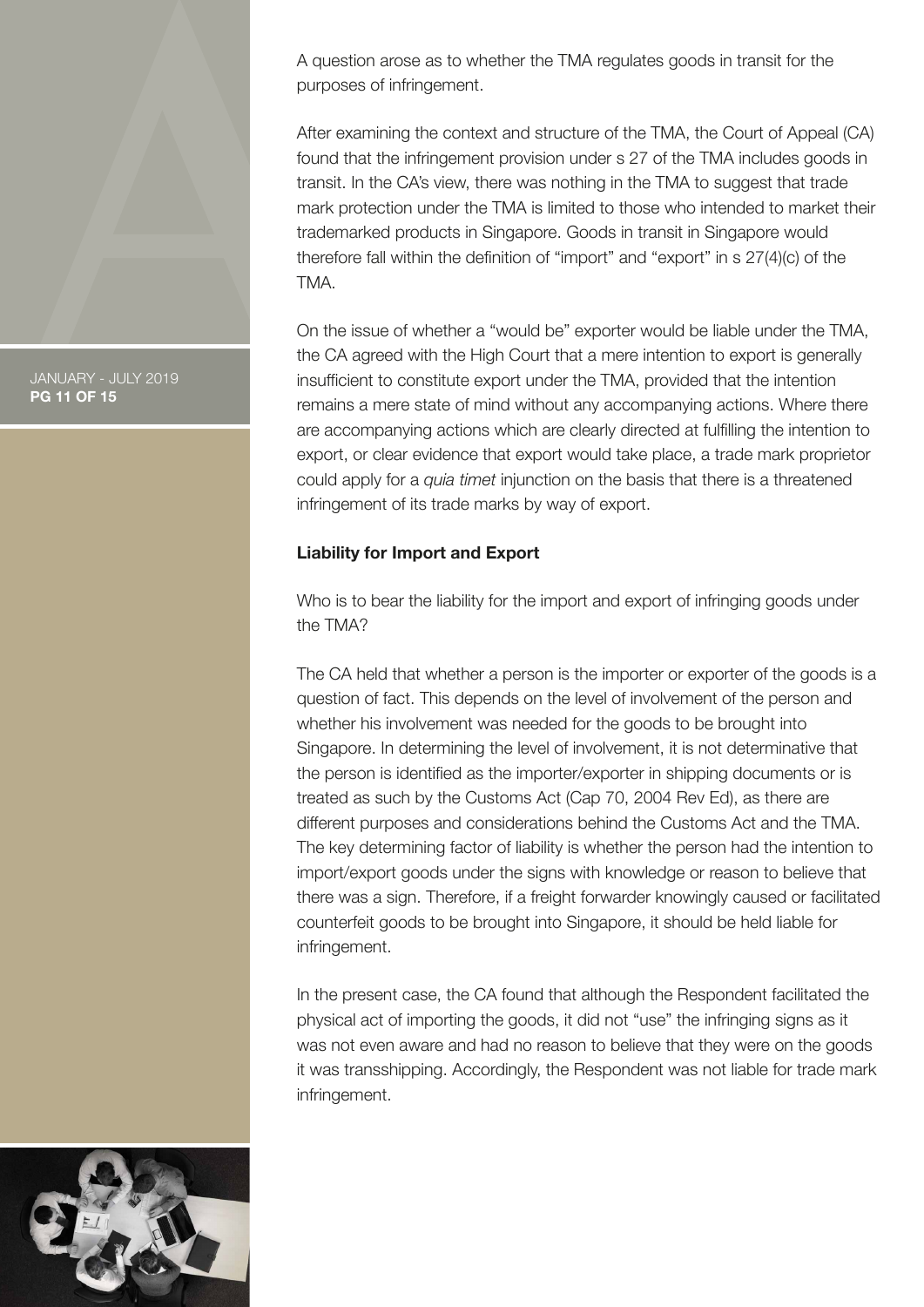A question arose as to whether the TMA regulates goods in transit for the purposes of infringement.

After examining the context and structure of the TMA, the Court of Appeal (CA) found that the infringement provision under s 27 of the TMA includes goods in transit. In the CA's view, there was nothing in the TMA to suggest that trade mark protection under the TMA is limited to those who intended to market their trademarked products in Singapore. Goods in transit in Singapore would therefore fall within the definition of "import" and "export" in s 27(4)(c) of the TMA.

On the issue of whether a "would be" exporter would be liable under the TMA, the CA agreed with the High Court that a mere intention to export is generally insufficient to constitute export under the TMA, provided that the intention remains a mere state of mind without any accompanying actions. Where there are accompanying actions which are clearly directed at fulfilling the intention to export, or clear evidence that export would take place, a trade mark proprietor could apply for a *quia timet* injunction on the basis that there is a threatened infringement of its trade marks by way of export.

### **Liability for Import and Export**

Who is to bear the liability for the import and export of infringing goods under the TMA?

The CA held that whether a person is the importer or exporter of the goods is a question of fact. This depends on the level of involvement of the person and whether his involvement was needed for the goods to be brought into Singapore. In determining the level of involvement, it is not determinative that the person is identified as the importer/exporter in shipping documents or is treated as such by the Customs Act (Cap 70, 2004 Rev Ed), as there are different purposes and considerations behind the Customs Act and the TMA. The key determining factor of liability is whether the person had the intention to import/export goods under the signs with knowledge or reason to believe that there was a sign. Therefore, if a freight forwarder knowingly caused or facilitated counterfeit goods to be brought into Singapore, it should be held liable for infringement.

In the present case, the CA found that although the Respondent facilitated the physical act of importing the goods, it did not "use" the infringing signs as it was not even aware and had no reason to believe that they were on the goods it was transshipping. Accordingly, the Respondent was not liable for trade mark infringement.



#### JANUARY - JULY 2019 **PG 11 OF 15**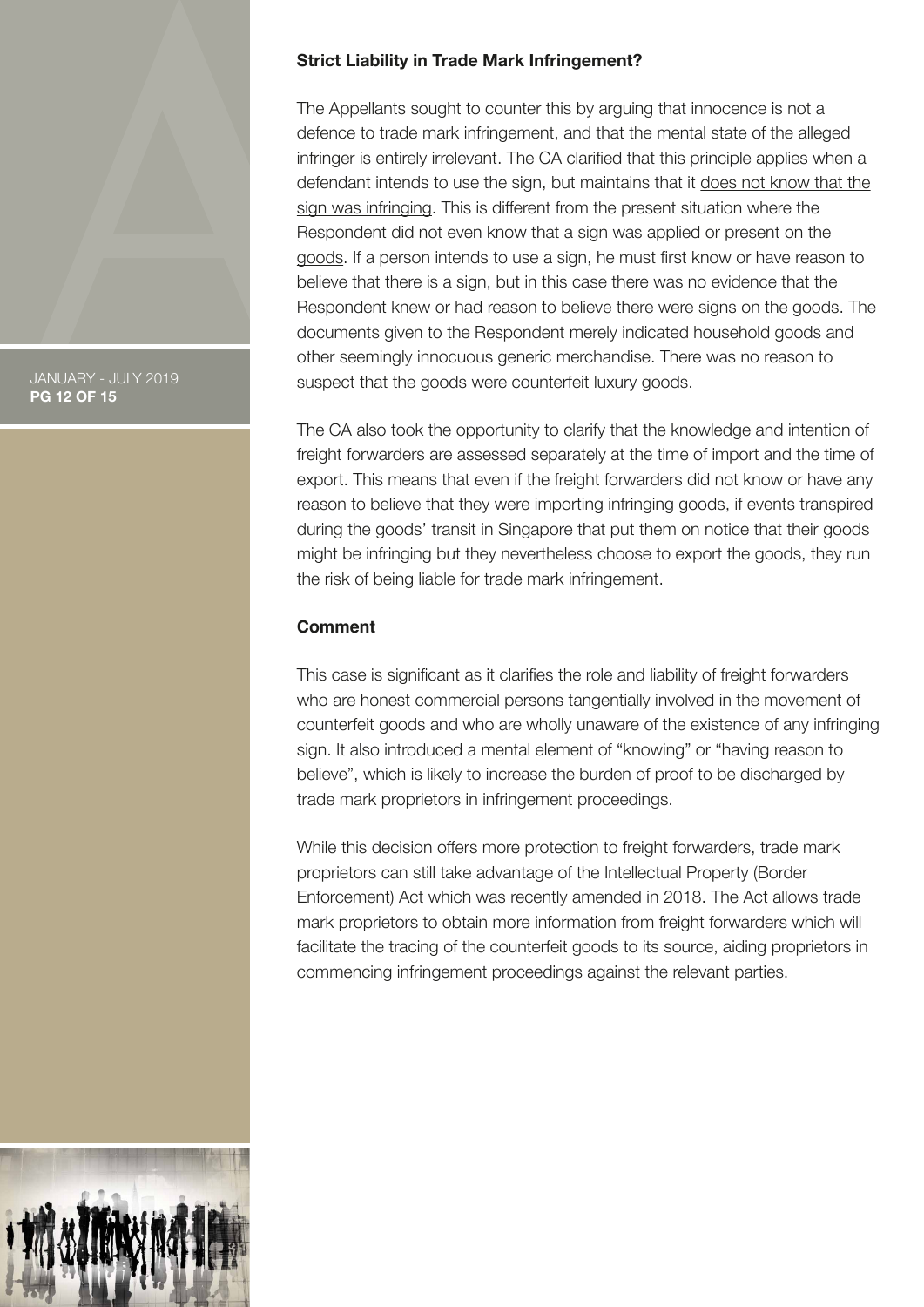JANUARY - JULY 2019 **PG 12 OF 15**

### **Strict Liability in Trade Mark Infringement?**

The Appellants sought to counter this by arguing that innocence is not a defence to trade mark infringement, and that the mental state of the alleged infringer is entirely irrelevant. The CA clarified that this principle applies when a defendant intends to use the sign, but maintains that it does not know that the sign was infringing. This is different from the present situation where the Respondent did not even know that a sign was applied or present on the goods. If a person intends to use a sign, he must first know or have reason to believe that there is a sign, but in this case there was no evidence that the Respondent knew or had reason to believe there were signs on the goods. The documents given to the Respondent merely indicated household goods and other seemingly innocuous generic merchandise. There was no reason to suspect that the goods were counterfeit luxury goods.

The CA also took the opportunity to clarify that the knowledge and intention of freight forwarders are assessed separately at the time of import and the time of export. This means that even if the freight forwarders did not know or have any reason to believe that they were importing infringing goods, if events transpired during the goods' transit in Singapore that put them on notice that their goods might be infringing but they nevertheless choose to export the goods, they run the risk of being liable for trade mark infringement.

### **Comment**

This case is significant as it clarifies the role and liability of freight forwarders who are honest commercial persons tangentially involved in the movement of counterfeit goods and who are wholly unaware of the existence of any infringing sign. It also introduced a mental element of "knowing" or "having reason to believe", which is likely to increase the burden of proof to be discharged by trade mark proprietors in infringement proceedings.

While this decision offers more protection to freight forwarders, trade mark proprietors can still take advantage of the Intellectual Property (Border Enforcement) Act which was recently amended in 2018. The Act allows trade mark proprietors to obtain more information from freight forwarders which will facilitate the tracing of the counterfeit goods to its source, aiding proprietors in commencing infringement proceedings against the relevant parties.

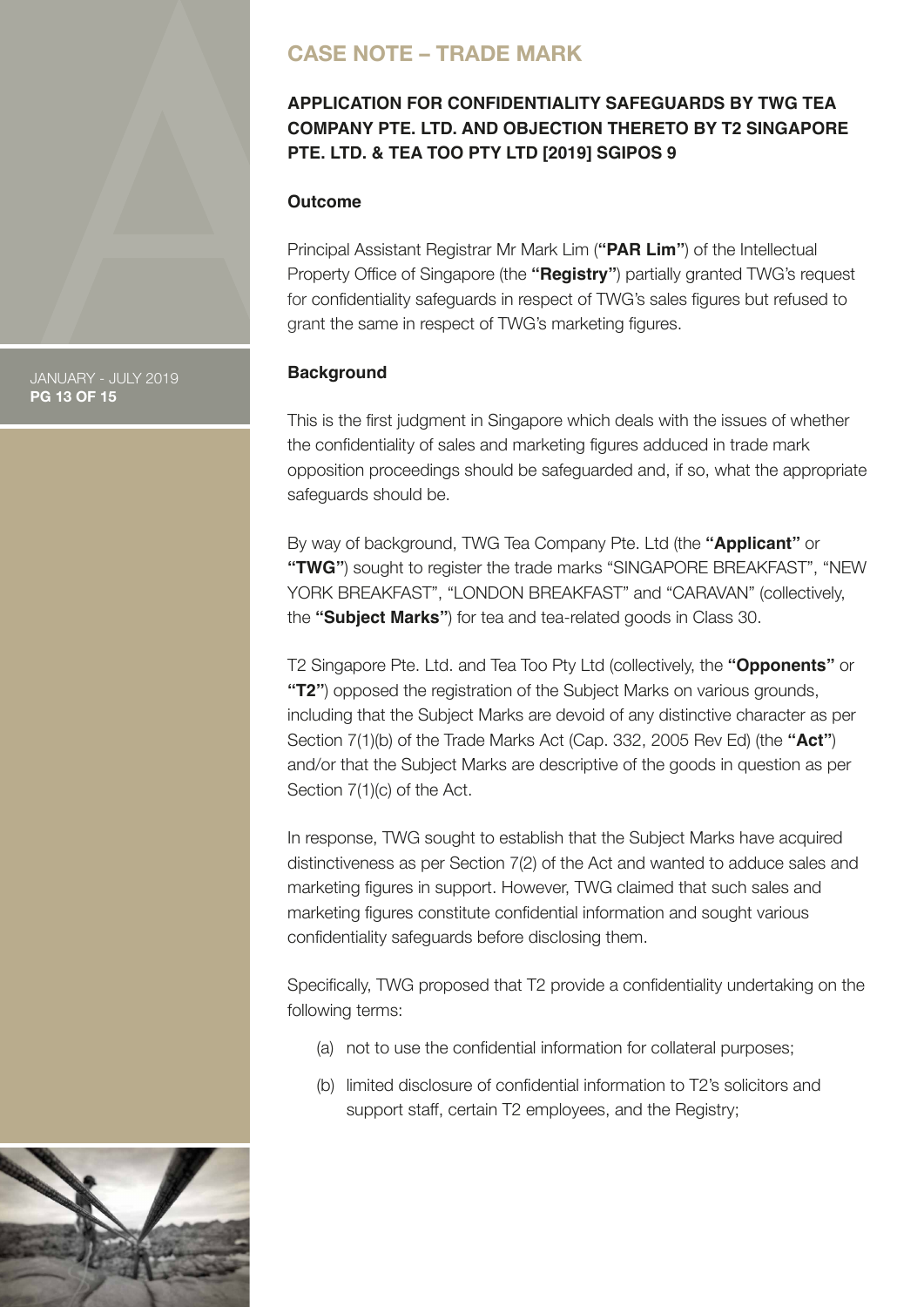# <span id="page-12-0"></span>**CASE NOTE – TRADE MARK**

# **APPLICATION FOR CONFIDENTIALITY SAFEGUARDS BY TWG TEA COMPANY PTE. LTD. AND OBJECTION THERETO BY T2 SINGAPORE PTE. LTD. & TEA TOO PTY LTD [2019] SGIPOS 9**

### **Outcome**

Principal Assistant Registrar Mr Mark Lim (**"PAR Lim"**) of the Intellectual Property Office of Singapore (the **"Registry"**) partially granted TWG's request for confidentiality safeguards in respect of TWG's sales figures but refused to grant the same in respect of TWG's marketing figures.

### **Background**

This is the first judgment in Singapore which deals with the issues of whether the confidentiality of sales and marketing figures adduced in trade mark opposition proceedings should be safeguarded and, if so, what the appropriate safeguards should be.

By way of background, TWG Tea Company Pte. Ltd (the **"Applicant"** or **"TWG"**) sought to register the trade marks "SINGAPORE BREAKFAST", "NEW YORK BREAKFAST", "LONDON BREAKFAST" and "CARAVAN" (collectively, the **"Subject Marks"**) for tea and tea-related goods in Class 30.

T2 Singapore Pte. Ltd. and Tea Too Pty Ltd (collectively, the **"Opponents"** or **"T2"**) opposed the registration of the Subject Marks on various grounds, including that the Subject Marks are devoid of any distinctive character as per Section 7(1)(b) of the Trade Marks Act (Cap. 332, 2005 Rev Ed) (the **"Act"**) and/or that the Subject Marks are descriptive of the goods in question as per Section 7(1)(c) of the Act.

In response, TWG sought to establish that the Subject Marks have acquired distinctiveness as per Section 7(2) of the Act and wanted to adduce sales and marketing figures in support. However, TWG claimed that such sales and marketing figures constitute confidential information and sought various confidentiality safeguards before disclosing them.

Specifically, TWG proposed that T2 provide a confidentiality undertaking on the following terms:

- (a) not to use the confidential information for collateral purposes;
- (b) limited disclosure of confidential information to T2's solicitors and support staff, certain T2 employees, and the Registry;



JANUARY - JULY 2019 **PG 13 OF 15**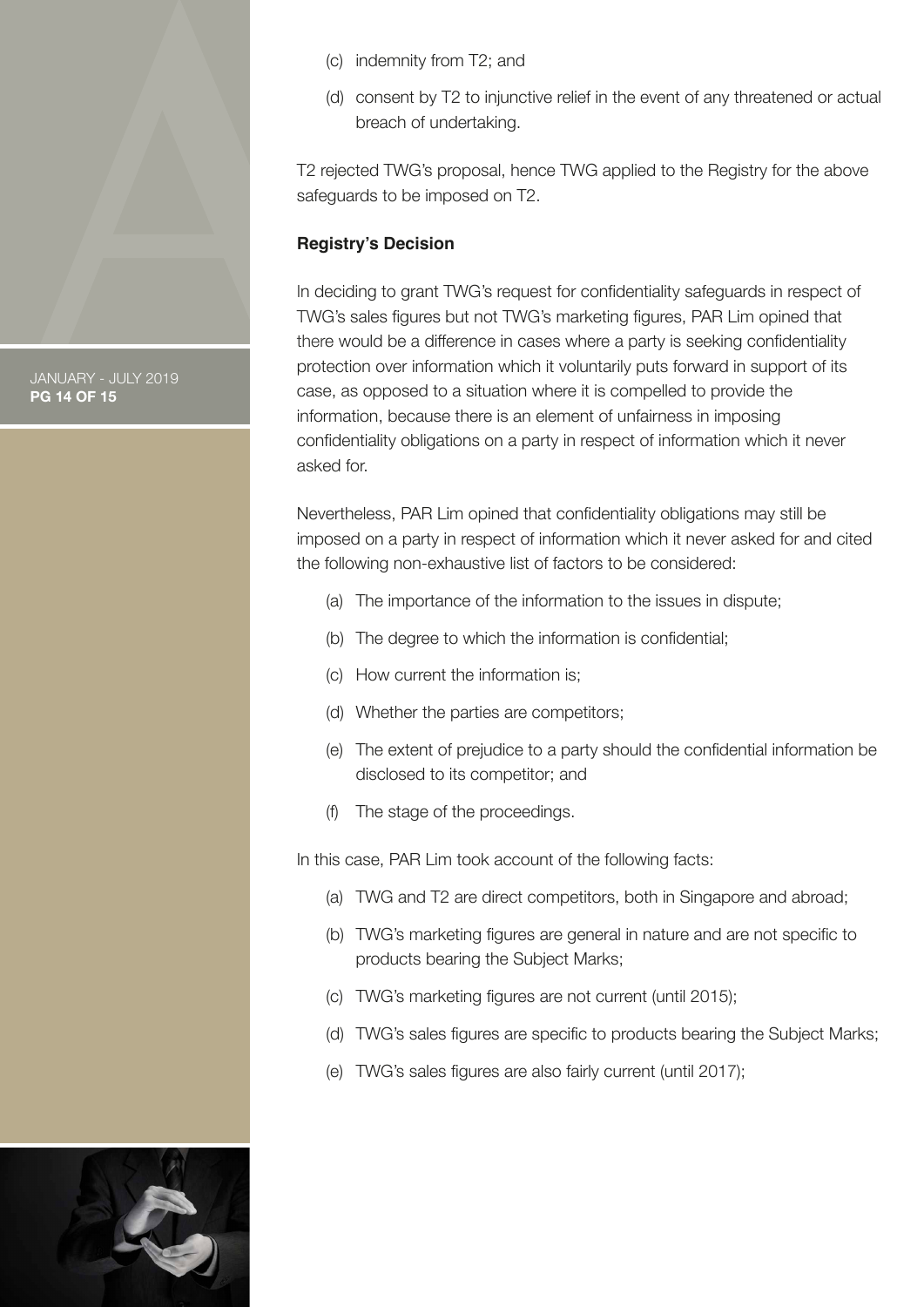- (c) indemnity from T2; and
- (d) consent by T2 to injunctive relief in the event of any threatened or actual breach of undertaking.

T2 rejected TWG's proposal, hence TWG applied to the Registry for the above safeguards to be imposed on T2.

### **Registry's Decision**

In deciding to grant TWG's request for confidentiality safeguards in respect of TWG's sales figures but not TWG's marketing figures, PAR Lim opined that there would be a difference in cases where a party is seeking confidentiality protection over information which it voluntarily puts forward in support of its case, as opposed to a situation where it is compelled to provide the information, because there is an element of unfairness in imposing confidentiality obligations on a party in respect of information which it never asked for.

Nevertheless, PAR Lim opined that confidentiality obligations may still be imposed on a party in respect of information which it never asked for and cited the following non-exhaustive list of factors to be considered:

- (a) The importance of the information to the issues in dispute;
- (b) The degree to which the information is confidential;
- (c) How current the information is;
- (d) Whether the parties are competitors;
- (e) The extent of prejudice to a party should the confidential information be disclosed to its competitor; and
- (f) The stage of the proceedings.

In this case, PAR Lim took account of the following facts:

- (a) TWG and T2 are direct competitors, both in Singapore and abroad;
- (b) TWG's marketing figures are general in nature and are not specific to products bearing the Subject Marks;
- (c) TWG's marketing figures are not current (until 2015);
- (d) TWG's sales figures are specific to products bearing the Subject Marks;
- (e) TWG's sales figures are also fairly current (until 2017);



JANUARY - JULY 2019 **PG 14 OF 15**